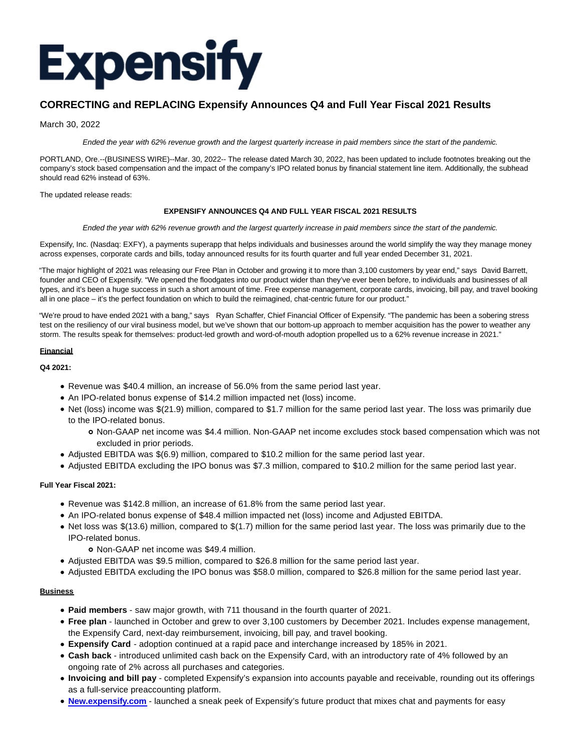

# **CORRECTING and REPLACING Expensify Announces Q4 and Full Year Fiscal 2021 Results**

March 30, 2022

Ended the year with 62% revenue growth and the largest quarterly increase in paid members since the start of the pandemic.

PORTLAND, Ore.--(BUSINESS WIRE)--Mar. 30, 2022-- The release dated March 30, 2022, has been updated to include footnotes breaking out the company's stock based compensation and the impact of the company's IPO related bonus by financial statement line item. Additionally, the subhead should read 62% instead of 63%.

The updated release reads:

#### **EXPENSIFY ANNOUNCES Q4 AND FULL YEAR FISCAL 2021 RESULTS**

Ended the year with 62% revenue growth and the largest quarterly increase in paid members since the start of the pandemic.

Expensify, Inc. (Nasdaq: EXFY), a payments superapp that helps individuals and businesses around the world simplify the way they manage money across expenses, corporate cards and bills, today announced results for its fourth quarter and full year ended December 31, 2021.

"The major highlight of 2021 was releasing our Free Plan in October and growing it to more than 3,100 customers by year end," says David Barrett, founder and CEO of Expensify. "We opened the floodgates into our product wider than they've ever been before, to individuals and businesses of all types, and it's been a huge success in such a short amount of time. Free expense management, corporate cards, invoicing, bill pay, and travel booking all in one place – it's the perfect foundation on which to build the reimagined, chat-centric future for our product."

"We're proud to have ended 2021 with a bang," says Ryan Schaffer, Chief Financial Officer of Expensify. "The pandemic has been a sobering stress test on the resiliency of our viral business model, but we've shown that our bottom-up approach to member acquisition has the power to weather any storm. The results speak for themselves: product-led growth and word-of-mouth adoption propelled us to a 62% revenue increase in 2021."

### **Financial**

**Q4 2021:**

- Revenue was \$40.4 million, an increase of 56.0% from the same period last year.
- An IPO-related bonus expense of \$14.2 million impacted net (loss) income.
- Net (loss) income was \$(21.9) million, compared to \$1.7 million for the same period last year. The loss was primarily due to the IPO-related bonus.
	- Non-GAAP net income was \$4.4 million. Non-GAAP net income excludes stock based compensation which was not excluded in prior periods.
- Adjusted EBITDA was \$(6.9) million, compared to \$10.2 million for the same period last year.
- Adjusted EBITDA excluding the IPO bonus was \$7.3 million, compared to \$10.2 million for the same period last year.

### **Full Year Fiscal 2021:**

- Revenue was \$142.8 million, an increase of 61.8% from the same period last year.
- An IPO-related bonus expense of \$48.4 million impacted net (loss) income and Adjusted EBITDA.
- Net loss was \$(13.6) million, compared to \$(1.7) million for the same period last year. The loss was primarily due to the IPO-related bonus.
	- Non-GAAP net income was \$49.4 million.
- Adjusted EBITDA was \$9.5 million, compared to \$26.8 million for the same period last year.
- Adjusted EBITDA excluding the IPO bonus was \$58.0 million, compared to \$26.8 million for the same period last year.

#### **Business**

- **Paid members** saw major growth, with 711 thousand in the fourth quarter of 2021.
- **Free plan** launched in October and grew to over 3,100 customers by December 2021. Includes expense management, the Expensify Card, next-day reimbursement, invoicing, bill pay, and travel booking.
- **Expensify Card**  adoption continued at a rapid pace and interchange increased by 185% in 2021.
- **Cash back** introduced unlimited cash back on the Expensify Card, with an introductory rate of 4% followed by an ongoing rate of 2% across all purchases and categories.
- **Invoicing and bill pay** completed Expensify's expansion into accounts payable and receivable, rounding out its offerings as a full-service preaccounting platform.
- **[New.expensify.com](http://new.expensify.com/)** launched a sneak peek of Expensify's future product that mixes chat and payments for easy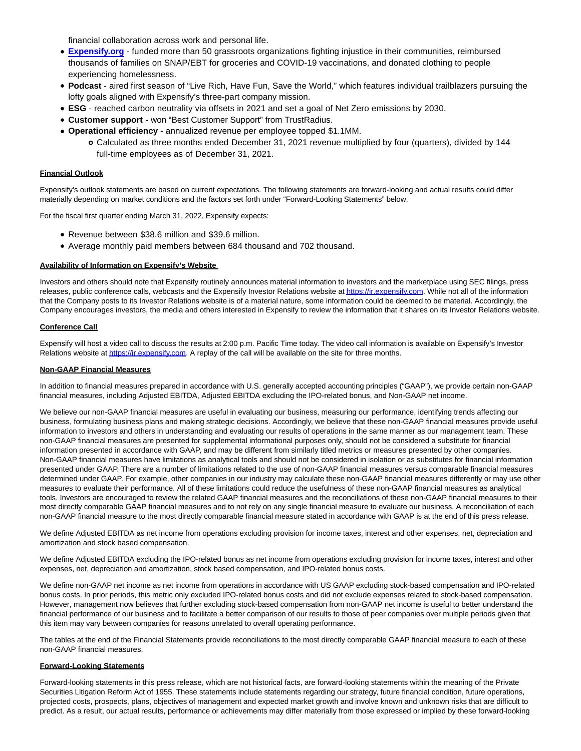financial collaboration across work and personal life.

- **[Expensify.org](http://expensify.org/)** funded more than 50 grassroots organizations fighting injustice in their communities, reimbursed thousands of families on SNAP/EBT for groceries and COVID-19 vaccinations, and donated clothing to people experiencing homelessness.
- **Podcast** aired first season of "Live Rich, Have Fun, Save the World," which features individual trailblazers pursuing the lofty goals aligned with Expensify's three-part company mission.
- **ESG** reached carbon neutrality via offsets in 2021 and set a goal of Net Zero emissions by 2030.
- **Customer support**  won "Best Customer Support" from TrustRadius.
- **Operational efficiency** annualized revenue per employee topped \$1.1MM.
	- Calculated as three months ended December 31, 2021 revenue multiplied by four (quarters), divided by 144 full-time employees as of December 31, 2021.

#### **Financial Outlook**

Expensify's outlook statements are based on current expectations. The following statements are forward-looking and actual results could differ materially depending on market conditions and the factors set forth under "Forward-Looking Statements" below.

For the fiscal first quarter ending March 31, 2022, Expensify expects:

- Revenue between \$38.6 million and \$39.6 million.
- Average monthly paid members between 684 thousand and 702 thousand.

#### **Availability of Information on Expensify's Website**

Investors and others should note that Expensify routinely announces material information to investors and the marketplace using SEC filings, press releases, public conference calls, webcasts and the Expensify Investor Relations website a[t https://ir.expensify.com.](https://cts.businesswire.com/ct/CT?id=smartlink&url=https%3A%2F%2Fir.expensify.com&esheet=52633650&newsitemid=20220330005845&lan=en-US&anchor=https%3A%2F%2Fir.expensify.com&index=1&md5=513c6b1d61cabb25c27a10a972326e6b) While not all of the information that the Company posts to its Investor Relations website is of a material nature, some information could be deemed to be material. Accordingly, the Company encourages investors, the media and others interested in Expensify to review the information that it shares on its Investor Relations website.

### **Conference Call**

Expensify will host a video call to discuss the results at 2:00 p.m. Pacific Time today. The video call information is available on Expensify's Investor Relations website a[t https://ir.expensify.com.](https://cts.businesswire.com/ct/CT?id=smartlink&url=https%3A%2F%2Fir.expensify.com&esheet=52633650&newsitemid=20220330005845&lan=en-US&anchor=https%3A%2F%2Fir.expensify.com&index=2&md5=b712416db34bc6834143003a0a9b0516) A replay of the call will be available on the site for three months.

#### **Non-GAAP Financial Measures**

In addition to financial measures prepared in accordance with U.S. generally accepted accounting principles ("GAAP"), we provide certain non-GAAP financial measures, including Adjusted EBITDA, Adjusted EBITDA excluding the IPO-related bonus, and Non-GAAP net income.

We believe our non-GAAP financial measures are useful in evaluating our business, measuring our performance, identifying trends affecting our business, formulating business plans and making strategic decisions. Accordingly, we believe that these non-GAAP financial measures provide useful information to investors and others in understanding and evaluating our results of operations in the same manner as our management team. These non-GAAP financial measures are presented for supplemental informational purposes only, should not be considered a substitute for financial information presented in accordance with GAAP, and may be different from similarly titled metrics or measures presented by other companies. Non-GAAP financial measures have limitations as analytical tools and should not be considered in isolation or as substitutes for financial information presented under GAAP. There are a number of limitations related to the use of non-GAAP financial measures versus comparable financial measures determined under GAAP. For example, other companies in our industry may calculate these non-GAAP financial measures differently or may use other measures to evaluate their performance. All of these limitations could reduce the usefulness of these non-GAAP financial measures as analytical tools. Investors are encouraged to review the related GAAP financial measures and the reconciliations of these non-GAAP financial measures to their most directly comparable GAAP financial measures and to not rely on any single financial measure to evaluate our business. A reconciliation of each non-GAAP financial measure to the most directly comparable financial measure stated in accordance with GAAP is at the end of this press release.

We define Adjusted EBITDA as net income from operations excluding provision for income taxes, interest and other expenses, net, depreciation and amortization and stock based compensation.

We define Adjusted EBITDA excluding the IPO-related bonus as net income from operations excluding provision for income taxes, interest and other expenses, net, depreciation and amortization, stock based compensation, and IPO-related bonus costs.

We define non-GAAP net income as net income from operations in accordance with US GAAP excluding stock-based compensation and IPO-related bonus costs. In prior periods, this metric only excluded IPO-related bonus costs and did not exclude expenses related to stock-based compensation. However, management now believes that further excluding stock-based compensation from non-GAAP net income is useful to better understand the financial performance of our business and to facilitate a better comparison of our results to those of peer companies over multiple periods given that this item may vary between companies for reasons unrelated to overall operating performance.

The tables at the end of the Financial Statements provide reconciliations to the most directly comparable GAAP financial measure to each of these non-GAAP financial measures.

#### **Forward-Looking Statements**

Forward-looking statements in this press release, which are not historical facts, are forward-looking statements within the meaning of the Private Securities Litigation Reform Act of 1955. These statements include statements regarding our strategy, future financial condition, future operations, projected costs, prospects, plans, objectives of management and expected market growth and involve known and unknown risks that are difficult to predict. As a result, our actual results, performance or achievements may differ materially from those expressed or implied by these forward-looking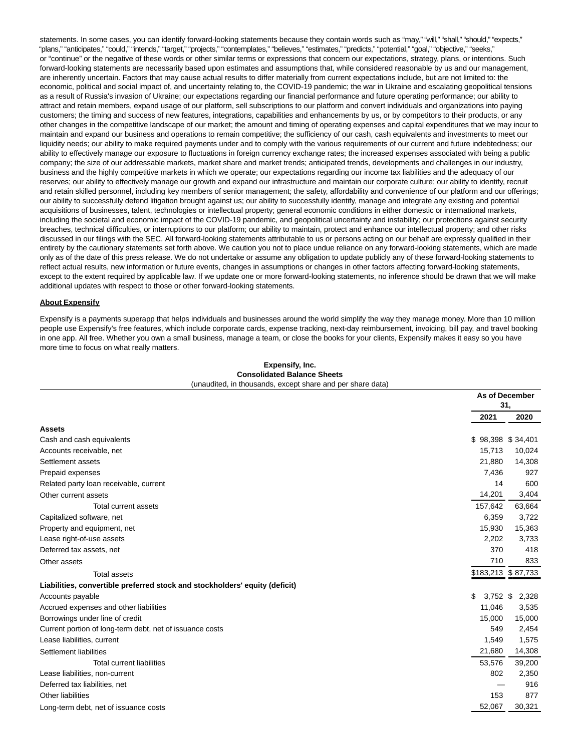statements. In some cases, you can identify forward-looking statements because they contain words such as "may," "will," "shall," "should," "expects," "plans," "anticipates," "could," "intends," "target," "projects," "contemplates," "believes," "estimates," "predicts," "potential," "goal," "objective," "seeks," or "continue" or the negative of these words or other similar terms or expressions that concern our expectations, strategy, plans, or intentions. Such forward-looking statements are necessarily based upon estimates and assumptions that, while considered reasonable by us and our management, are inherently uncertain. Factors that may cause actual results to differ materially from current expectations include, but are not limited to: the economic, political and social impact of, and uncertainty relating to, the COVID-19 pandemic; the war in Ukraine and escalating geopolitical tensions as a result of Russia's invasion of Ukraine; our expectations regarding our financial performance and future operating performance; our ability to attract and retain members, expand usage of our platform, sell subscriptions to our platform and convert individuals and organizations into paying customers; the timing and success of new features, integrations, capabilities and enhancements by us, or by competitors to their products, or any other changes in the competitive landscape of our market; the amount and timing of operating expenses and capital expenditures that we may incur to maintain and expand our business and operations to remain competitive; the sufficiency of our cash, cash equivalents and investments to meet our liquidity needs; our ability to make required payments under and to comply with the various requirements of our current and future indebtedness; our ability to effectively manage our exposure to fluctuations in foreign currency exchange rates; the increased expenses associated with being a public company; the size of our addressable markets, market share and market trends; anticipated trends, developments and challenges in our industry, business and the highly competitive markets in which we operate; our expectations regarding our income tax liabilities and the adequacy of our reserves; our ability to effectively manage our growth and expand our infrastructure and maintain our corporate culture; our ability to identify, recruit and retain skilled personnel, including key members of senior management; the safety, affordability and convenience of our platform and our offerings; our ability to successfully defend litigation brought against us; our ability to successfully identify, manage and integrate any existing and potential acquisitions of businesses, talent, technologies or intellectual property; general economic conditions in either domestic or international markets, including the societal and economic impact of the COVID-19 pandemic, and geopolitical uncertainty and instability; our protections against security breaches, technical difficulties, or interruptions to our platform; our ability to maintain, protect and enhance our intellectual property; and other risks discussed in our filings with the SEC. All forward-looking statements attributable to us or persons acting on our behalf are expressly qualified in their entirety by the cautionary statements set forth above. We caution you not to place undue reliance on any forward-looking statements, which are made only as of the date of this press release. We do not undertake or assume any obligation to update publicly any of these forward-looking statements to reflect actual results, new information or future events, changes in assumptions or changes in other factors affecting forward-looking statements, except to the extent required by applicable law. If we update one or more forward-looking statements, no inference should be drawn that we will make additional updates with respect to those or other forward-looking statements.

#### **About Expensify**

Expensify is a payments superapp that helps individuals and businesses around the world simplify the way they manage money. More than 10 million people use Expensify's free features, which include corporate cards, expense tracking, next-day reimbursement, invoicing, bill pay, and travel booking in one app. All free. Whether you own a small business, manage a team, or close the books for your clients, Expensify makes it easy so you have more time to focus on what really matters.

#### **Expensify, Inc. Consolidated Balance Sheets** (unaudited, in thousands, except share and per share data)

|                                                                             |                    | As of December<br>31, |
|-----------------------------------------------------------------------------|--------------------|-----------------------|
|                                                                             | 2021               | 2020                  |
| <b>Assets</b>                                                               |                    |                       |
| Cash and cash equivalents                                                   | \$98,398 \$34,401  |                       |
| Accounts receivable, net                                                    | 15,713             | 10,024                |
| Settlement assets                                                           | 21,880             | 14,308                |
| Prepaid expenses                                                            | 7,436              | 927                   |
| Related party loan receivable, current                                      | 14                 | 600                   |
| Other current assets                                                        | 14,201             | 3,404                 |
| Total current assets                                                        | 157,642            | 63,664                |
| Capitalized software, net                                                   | 6,359              | 3,722                 |
| Property and equipment, net                                                 | 15,930             | 15,363                |
| Lease right-of-use assets                                                   | 2,202              | 3,733                 |
| Deferred tax assets, net                                                    | 370                | 418                   |
| Other assets                                                                | 710                | 833                   |
| Total assets                                                                | \$183,213 \$87,733 |                       |
| Liabilities, convertible preferred stock and stockholders' equity (deficit) |                    |                       |
| Accounts payable                                                            | \$<br>$3,752$ \$   | 2,328                 |
| Accrued expenses and other liabilities                                      | 11,046             | 3,535                 |
| Borrowings under line of credit                                             | 15.000             | 15,000                |
| Current portion of long-term debt, net of issuance costs                    | 549                | 2,454                 |
| Lease liabilities, current                                                  | 1,549              | 1,575                 |
| Settlement liabilities                                                      | 21,680             | 14,308                |
| <b>Total current liabilities</b>                                            | 53,576             | 39,200                |
| Lease liabilities, non-current                                              | 802                | 2,350                 |
| Deferred tax liabilities, net                                               |                    | 916                   |
| Other liabilities                                                           | 153                | 877                   |
| Long-term debt, net of issuance costs                                       | 52,067             | 30,321                |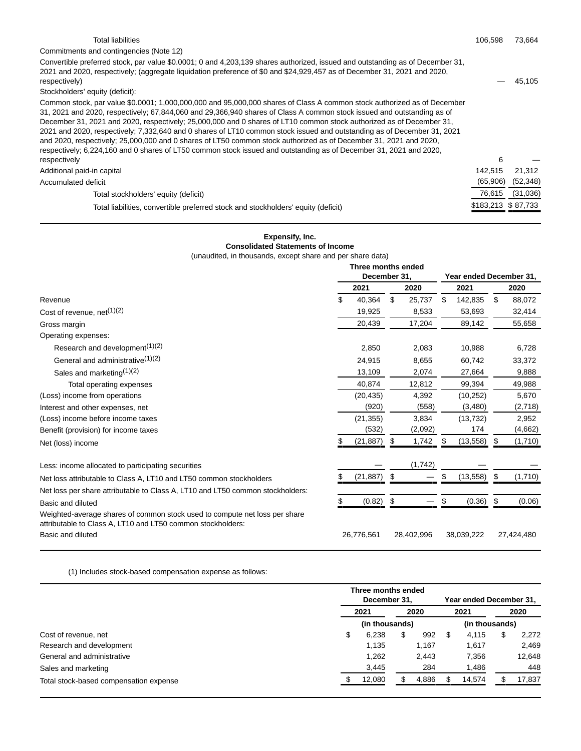| <b>Total liabilities</b>                                                                                                                                                                                                                                                                                                                                                                                                                                                                                                                                                                                                                                                                                                                        | 106.598            | 73.664    |
|-------------------------------------------------------------------------------------------------------------------------------------------------------------------------------------------------------------------------------------------------------------------------------------------------------------------------------------------------------------------------------------------------------------------------------------------------------------------------------------------------------------------------------------------------------------------------------------------------------------------------------------------------------------------------------------------------------------------------------------------------|--------------------|-----------|
| Commitments and contingencies (Note 12)                                                                                                                                                                                                                                                                                                                                                                                                                                                                                                                                                                                                                                                                                                         |                    |           |
| Convertible preferred stock, par value \$0.0001; 0 and 4,203,139 shares authorized, issued and outstanding as of December 31,<br>2021 and 2020, respectively; (aggregate liquidation preference of \$0 and \$24,929,457 as of December 31, 2021 and 2020,<br>respectively)                                                                                                                                                                                                                                                                                                                                                                                                                                                                      |                    | 45,105    |
| Stockholders' equity (deficit):                                                                                                                                                                                                                                                                                                                                                                                                                                                                                                                                                                                                                                                                                                                 |                    |           |
| Common stock, par value \$0.0001; 1,000,000,000 and 95,000,000 shares of Class A common stock authorized as of December<br>31, 2021 and 2020, respectively; 67,844,060 and 29,366,940 shares of Class A common stock issued and outstanding as of<br>December 31, 2021 and 2020, respectively; 25,000,000 and 0 shares of LT10 common stock authorized as of December 31,<br>2021 and 2020, respectively; 7,332,640 and 0 shares of LT10 common stock issued and outstanding as of December 31, 2021<br>and 2020, respectively; 25,000,000 and 0 shares of LT50 common stock authorized as of December 31, 2021 and 2020,<br>respectively; 6,224,160 and 0 shares of LT50 common stock issued and outstanding as of December 31, 2021 and 2020, |                    |           |
| respectively                                                                                                                                                                                                                                                                                                                                                                                                                                                                                                                                                                                                                                                                                                                                    | 6                  |           |
| Additional paid-in capital                                                                                                                                                                                                                                                                                                                                                                                                                                                                                                                                                                                                                                                                                                                      | 142,515            | 21,312    |
| Accumulated deficit                                                                                                                                                                                                                                                                                                                                                                                                                                                                                                                                                                                                                                                                                                                             | (65,906)           | (52, 348) |
| Total stockholders' equity (deficit)                                                                                                                                                                                                                                                                                                                                                                                                                                                                                                                                                                                                                                                                                                            | 76,615             | (31,036)  |
| Total liabilities, convertible preferred stock and stockholders' equity (deficit)                                                                                                                                                                                                                                                                                                                                                                                                                                                                                                                                                                                                                                                               | \$183,213 \$87,733 |           |

#### **Expensify, Inc. Consolidated Statements of Income** (unaudited, in thousands, except share and per share data)

|                                                                                                                                           | Three months ended |             |      |                         |    |            |    |            |
|-------------------------------------------------------------------------------------------------------------------------------------------|--------------------|-------------|------|-------------------------|----|------------|----|------------|
|                                                                                                                                           | December 31.       |             |      | Year ended December 31, |    |            |    |            |
|                                                                                                                                           |                    | 2021        |      | 2020                    |    | 2021       |    | 2020       |
| Revenue                                                                                                                                   | \$                 | 40,364      | \$   | 25,737                  | \$ | 142,835    | \$ | 88,072     |
| Cost of revenue, $net(1)(2)$                                                                                                              |                    | 19,925      |      | 8,533                   |    | 53,693     |    | 32,414     |
| Gross margin                                                                                                                              |                    | 20,439      |      | 17,204                  |    | 89,142     |    | 55,658     |
| Operating expenses:                                                                                                                       |                    |             |      |                         |    |            |    |            |
| Research and development <sup>(1)(2)</sup>                                                                                                |                    | 2,850       |      | 2,083                   |    | 10.988     |    | 6,728      |
| General and administrative <sup>(1)(2)</sup>                                                                                              |                    | 24,915      |      | 8,655                   |    | 60,742     |    | 33,372     |
| Sales and marketing $(1)(2)$                                                                                                              |                    | 13,109      |      | 2,074                   |    | 27,664     |    | 9,888      |
| Total operating expenses                                                                                                                  |                    | 40,874      |      | 12,812                  |    | 99,394     |    | 49,988     |
| (Loss) income from operations                                                                                                             |                    | (20, 435)   |      | 4,392                   |    | (10, 252)  |    | 5,670      |
| Interest and other expenses, net                                                                                                          |                    | (920)       |      | (558)                   |    | (3,480)    |    | (2,718)    |
| (Loss) income before income taxes                                                                                                         |                    | (21, 355)   |      | 3,834                   |    | (13, 732)  |    | 2,952      |
| Benefit (provision) for income taxes                                                                                                      |                    | (532)       |      | (2,092)                 |    | 174        |    | (4,662)    |
| Net (loss) income                                                                                                                         |                    | (21, 887)   | - \$ | 1,742                   | \$ | (13, 558)  | \$ | (1,710)    |
| Less: income allocated to participating securities                                                                                        |                    |             |      | (1,742)                 |    |            |    |            |
| Net loss attributable to Class A, LT10 and LT50 common stockholders                                                                       |                    | (21, 887)   | - \$ |                         | S  | (13, 558)  | \$ | (1,710)    |
| Net loss per share attributable to Class A, LT10 and LT50 common stockholders:                                                            |                    |             |      |                         |    |            |    |            |
| Basic and diluted                                                                                                                         |                    | $(0.82)$ \$ |      |                         | \$ | (0.36)     | \$ | (0.06)     |
| Weighted-average shares of common stock used to compute net loss per share<br>attributable to Class A, LT10 and LT50 common stockholders: |                    |             |      |                         |    |            |    |            |
| Basic and diluted                                                                                                                         |                    | 26,776,561  |      | 28,402,996              |    | 38,039,222 |    | 27,424,480 |

(1) Includes stock-based compensation expense as follows:

|                                        |                | Three months ended<br>December 31, |      |       |  |                | Year ended December 31. |        |  |  |  |
|----------------------------------------|----------------|------------------------------------|------|-------|--|----------------|-------------------------|--------|--|--|--|
|                                        |                | 2021                               | 2020 |       |  | 2021           |                         | 2020   |  |  |  |
|                                        | (in thousands) |                                    |      |       |  | (in thousands) |                         |        |  |  |  |
| Cost of revenue, net                   | \$             | 6,238                              | \$   | 992   |  | 4.115          |                         | 2,272  |  |  |  |
| Research and development               |                | 1.135                              |      | 1.167 |  | 1.617          |                         | 2,469  |  |  |  |
| General and administrative             |                | 1.262                              |      | 2.443 |  | 7.356          |                         | 12,648 |  |  |  |
| Sales and marketing                    |                | 3,445                              |      | 284   |  | 1,486          |                         | 448    |  |  |  |
| Total stock-based compensation expense |                | 12,080                             |      | 4,886 |  | 14,574         |                         | 17,837 |  |  |  |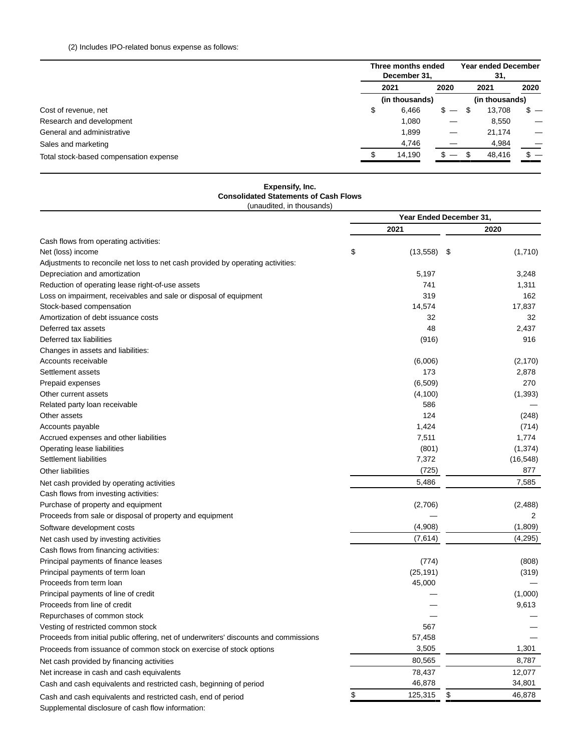|                                        |      | Three months ended<br>December 31, |        |                          |  |  |
|----------------------------------------|------|------------------------------------|--------|--------------------------|--|--|
|                                        | 2021 | 2020                               | 2021   | 2020                     |  |  |
|                                        |      | (in thousands)                     |        |                          |  |  |
| Cost of revenue, net                   | \$   | 6,466<br>$s -$                     | 13,708 | $s -$                    |  |  |
| Research and development               |      | 1,080                              | 8,550  |                          |  |  |
| General and administrative             |      | 1,899                              | 21,174 |                          |  |  |
| Sales and marketing                    |      | 4,746                              | 4,984  |                          |  |  |
| Total stock-based compensation expense |      | 14,190                             | 48.416 | $\overline{\phantom{a}}$ |  |  |

### **Expensify, Inc. Consolidated Statements of Cash Flows** (unaudited, in thousands)

|                                                                                       |    | Year Ended December 31. |    |                |
|---------------------------------------------------------------------------------------|----|-------------------------|----|----------------|
|                                                                                       |    | 2021                    |    | 2020           |
| Cash flows from operating activities:                                                 |    |                         |    |                |
| Net (loss) income                                                                     | \$ | (13, 558)               | \$ | (1,710)        |
| Adjustments to reconcile net loss to net cash provided by operating activities:       |    |                         |    |                |
| Depreciation and amortization                                                         |    | 5,197                   |    | 3.248          |
| Reduction of operating lease right-of-use assets                                      |    | 741                     |    | 1,311          |
| Loss on impairment, receivables and sale or disposal of equipment                     |    | 319                     |    | 162            |
| Stock-based compensation                                                              |    | 14,574                  |    | 17,837         |
| Amortization of debt issuance costs                                                   |    | 32                      |    | 32             |
| Deferred tax assets                                                                   |    | 48                      |    | 2,437          |
| Deferred tax liabilities                                                              |    | (916)                   |    | 916            |
| Changes in assets and liabilities:                                                    |    |                         |    |                |
| Accounts receivable                                                                   |    | (6,006)                 |    | (2, 170)       |
| Settlement assets                                                                     |    | 173                     |    | 2,878          |
| Prepaid expenses                                                                      |    | (6, 509)                |    | 270            |
| Other current assets                                                                  |    | (4,100)                 |    | (1,393)        |
| Related party loan receivable                                                         |    | 586                     |    |                |
| Other assets                                                                          |    | 124                     |    | (248)          |
| Accounts payable                                                                      |    | 1,424                   |    | (714)          |
| Accrued expenses and other liabilities                                                |    | 7,511                   |    | 1,774          |
| Operating lease liabilities                                                           |    | (801)                   |    | (1, 374)       |
| Settlement liabilities                                                                |    | 7,372                   |    | (16, 548)      |
| Other liabilities                                                                     |    | (725)                   |    | 877            |
| Net cash provided by operating activities                                             |    | 5,486                   |    | 7,585          |
| Cash flows from investing activities:                                                 |    |                         |    |                |
| Purchase of property and equipment                                                    |    | (2,706)                 |    | (2,488)        |
| Proceeds from sale or disposal of property and equipment                              |    |                         |    | $\overline{2}$ |
| Software development costs                                                            |    | (4,908)                 |    | (1,809)        |
| Net cash used by investing activities                                                 |    | (7,614)                 |    | (4, 295)       |
| Cash flows from financing activities:                                                 |    |                         |    |                |
| Principal payments of finance leases                                                  |    | (774)                   |    | (808)          |
| Principal payments of term loan                                                       |    | (25, 191)               |    | (319)          |
| Proceeds from term loan                                                               |    | 45,000                  |    |                |
| Principal payments of line of credit                                                  |    |                         |    | (1,000)        |
| Proceeds from line of credit                                                          |    |                         |    | 9,613          |
| Repurchases of common stock                                                           |    |                         |    |                |
| Vesting of restricted common stock                                                    |    | 567                     |    |                |
| Proceeds from initial public offering, net of underwriters' discounts and commissions |    | 57,458                  |    |                |
| Proceeds from issuance of common stock on exercise of stock options                   |    | 3,505                   |    | 1,301          |
| Net cash provided by financing activities                                             |    | 80,565                  |    | 8,787          |
| Net increase in cash and cash equivalents                                             |    | 78,437                  |    | 12,077         |
| Cash and cash equivalents and restricted cash, beginning of period                    |    | 46,878                  |    | 34,801         |
| Cash and cash equivalents and restricted cash, end of period                          | \$ | 125,315                 | \$ | 46,878         |
|                                                                                       |    |                         |    |                |

Supplemental disclosure of cash flow information: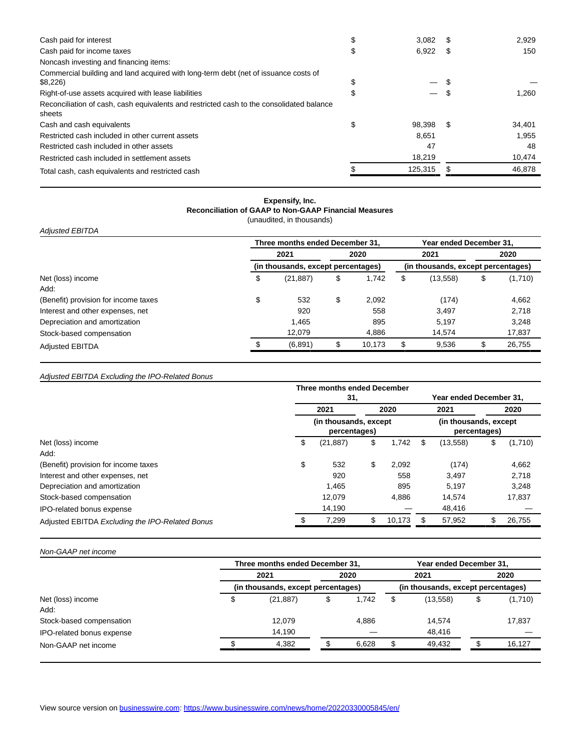| Cash paid for interest                                                                             | \$<br>3.082                          |      | 2,929  |
|----------------------------------------------------------------------------------------------------|--------------------------------------|------|--------|
| Cash paid for income taxes                                                                         | \$<br>6,922                          | - 35 | 150    |
| Noncash investing and financing items:                                                             |                                      |      |        |
| Commercial building and land acquired with long-term debt (net of issuance costs of<br>\$8,226)    | \$<br>$\qquad \qquad \longleftarrow$ | \$   |        |
| Right-of-use assets acquired with lease liabilities                                                | \$<br>$\qquad \qquad \longleftarrow$ |      | 1.260  |
| Reconciliation of cash, cash equivalents and restricted cash to the consolidated balance<br>sheets |                                      |      |        |
| Cash and cash equivalents                                                                          | \$<br>98.398                         | S.   | 34,401 |
| Restricted cash included in other current assets                                                   | 8.651                                |      | 1.955  |
| Restricted cash included in other assets                                                           | 47                                   |      | 48     |
| Restricted cash included in settlement assets                                                      | 18,219                               |      | 10,474 |
| Total cash, cash equivalents and restricted cash                                                   | 125.315                              |      | 46.878 |

### **Expensify, Inc. Reconciliation of GAAP to Non-GAAP Financial Measures** (unaudited, in thousands)

| <b>Adjusted EBITDA</b>               |                                    |              |                |                                    |         |  |  |
|--------------------------------------|------------------------------------|--------------|----------------|------------------------------------|---------|--|--|
|                                      | Three months ended December 31,    |              |                | Year ended December 31,            |         |  |  |
|                                      | 2021                               | 2020         | 2021           | 2020                               |         |  |  |
|                                      | (in thousands, except percentages) |              |                | (in thousands, except percentages) |         |  |  |
| Net (loss) income                    | \$<br>(21, 887)                    | \$<br>1,742  | \$<br>(13,558) | \$                                 | (1,710) |  |  |
| Add:                                 |                                    |              |                |                                    |         |  |  |
| (Benefit) provision for income taxes | \$<br>532                          | \$<br>2.092  | (174)          |                                    | 4,662   |  |  |
| Interest and other expenses, net     | 920                                | 558          | 3.497          |                                    | 2,718   |  |  |
| Depreciation and amortization        | 1.465                              | 895          | 5.197          |                                    | 3,248   |  |  |
| Stock-based compensation             | 12,079                             | 4,886        | 14.574         |                                    | 17,837  |  |  |
| <b>Adjusted EBITDA</b>               | (6,891)                            | \$<br>10,173 | \$<br>9.536    |                                    | 26,755  |  |  |

# Adjusted EBITDA Excluding the IPO-Related Bonus

|                                                 |              | <b>Three months ended December</b><br>31. |    |        | Year ended December 31.               |           |      |         |  |  |
|-------------------------------------------------|--------------|-------------------------------------------|----|--------|---------------------------------------|-----------|------|---------|--|--|
|                                                 | 2021<br>2020 |                                           |    | 2021   |                                       |           | 2020 |         |  |  |
|                                                 |              | (in thousands, except<br>percentages)     |    |        | (in thousands, except<br>percentages) |           |      |         |  |  |
| Net (loss) income                               | \$           | (21, 887)                                 | \$ | 1,742  | \$                                    | (13, 558) | \$   | (1,710) |  |  |
| Add:                                            |              |                                           |    |        |                                       |           |      |         |  |  |
| (Benefit) provision for income taxes            | \$           | 532                                       | \$ | 2,092  |                                       | (174)     |      | 4,662   |  |  |
| Interest and other expenses, net                |              | 920                                       |    | 558    |                                       | 3,497     |      | 2,718   |  |  |
| Depreciation and amortization                   |              | 1.465                                     |    | 895    |                                       | 5,197     |      | 3,248   |  |  |
| Stock-based compensation                        |              | 12.079                                    |    | 4,886  |                                       | 14.574    |      | 17,837  |  |  |
| <b>IPO-related bonus expense</b>                |              | 14,190                                    |    |        |                                       | 48,416    |      |         |  |  |
| Adjusted EBITDA Excluding the IPO-Related Bonus |              | 7,299                                     | \$ | 10,173 |                                       | 57,952    | S    | 26,755  |  |  |

# Non-GAAP net income

|                           |              | Three months ended December 31,                                          |    |       |      |           | Year ended December 31, |         |  |  |
|---------------------------|--------------|--------------------------------------------------------------------------|----|-------|------|-----------|-------------------------|---------|--|--|
|                           | 2021<br>2020 |                                                                          |    |       | 2021 |           | 2020                    |         |  |  |
|                           |              | (in thousands, except percentages)<br>(in thousands, except percentages) |    |       |      |           |                         |         |  |  |
| Net (loss) income         | S            | (21, 887)                                                                | \$ | 1.742 | \$   | (13, 558) | \$                      | (1,710) |  |  |
| Add:                      |              |                                                                          |    |       |      |           |                         |         |  |  |
| Stock-based compensation  |              | 12.079                                                                   |    | 4.886 |      | 14.574    |                         | 17,837  |  |  |
| IPO-related bonus expense |              | 14.190                                                                   |    |       |      | 48,416    |                         |         |  |  |
| Non-GAAP net income       |              | 4.382                                                                    |    | 6.628 |      | 49,432    |                         | 16,127  |  |  |
|                           |              |                                                                          |    |       |      |           |                         |         |  |  |